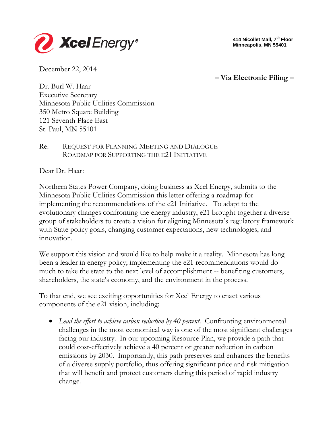

**414 Nicollet Mall, 7th Floor Minneapolis, MN 55401**

December 22, 2014

**– Via Electronic Filing –**

Dr. Burl W. Haar Executive Secretary Minnesota Public Utilities Commission 350 Metro Square Building 121 Seventh Place East St. Paul, MN 55101

#### Re: REQUEST FOR PLANNING MEETING AND DIALOGUE ROADMAP FOR SUPPORTING THE E21 INITIATIVE

Dear Dr. Haar:

Northern States Power Company, doing business as Xcel Energy, submits to the Minnesota Public Utilities Commission this letter offering a roadmap for implementing the recommendations of the e21 Initiative. To adapt to the evolutionary changes confronting the energy industry, e21 brought together a diverse group of stakeholders to create a vision for aligning Minnesota's regulatory framework with State policy goals, changing customer expectations, new technologies, and innovation.

We support this vision and would like to help make it a reality. Minnesota has long been a leader in energy policy; implementing the e21 recommendations would do much to take the state to the next level of accomplishment -- benefiting customers, shareholders, the state's economy, and the environment in the process.

To that end, we see exciting opportunities for Xcel Energy to enact various components of the e21 vision, including:

• *Lead the effort to achieve carbon reduction by 40 percent*. Confronting environmental challenges in the most economical way is one of the most significant challenges facing our industry. In our upcoming Resource Plan, we provide a path that could cost-effectively achieve a 40 percent or greater reduction in carbon emissions by 2030. Importantly, this path preserves and enhances the benefits of a diverse supply portfolio, thus offering significant price and risk mitigation that will benefit and protect customers during this period of rapid industry change.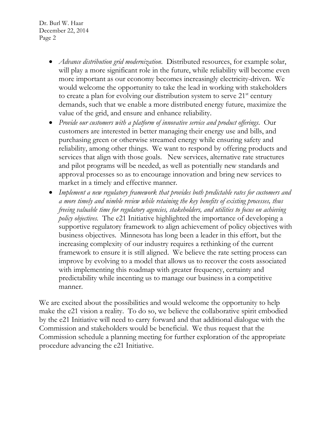- *Advance distribution grid modernization*. Distributed resources, for example solar, will play a more significant role in the future, while reliability will become even more important as our economy becomes increasingly electricity-driven. We would welcome the opportunity to take the lead in working with stakeholders to create a plan for evolving our distribution system to serve  $21<sup>st</sup>$  century demands, such that we enable a more distributed energy future, maximize the value of the grid, and ensure and enhance reliability.
- *Provide our customers with a platform of innovative service and product offerings*. Our customers are interested in better managing their energy use and bills, and purchasing green or otherwise streamed energy while ensuring safety and reliability, among other things. We want to respond by offering products and services that align with those goals. New services, alternative rate structures and pilot programs will be needed, as well as potentially new standards and approval processes so as to encourage innovation and bring new services to market in a timely and effective manner.
- *Implement a new regulatory framework that provides both predictable rates for customers and a more timely and nimble review while retaining the key benefits of existing processes, thus freeing valuable time for regulatory agencies, stakeholders, and utilities to focus on achieving policy objectives.* The e21 Initiative highlighted the importance of developing a supportive regulatory framework to align achievement of policy objectives with business objectives. Minnesota has long been a leader in this effort, but the increasing complexity of our industry requires a rethinking of the current framework to ensure it is still aligned. We believe the rate setting process can improve by evolving to a model that allows us to recover the costs associated with implementing this roadmap with greater frequency, certainty and predictability while incenting us to manage our business in a competitive manner.

We are excited about the possibilities and would welcome the opportunity to help make the e21 vision a reality. To do so, we believe the collaborative spirit embodied by the e21 Initiative will need to carry forward and that additional dialogue with the Commission and stakeholders would be beneficial. We thus request that the Commission schedule a planning meeting for further exploration of the appropriate procedure advancing the e21 Initiative.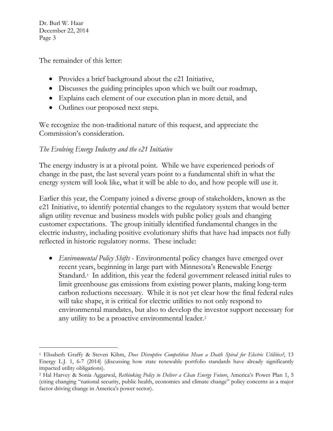$\overline{a}$ 

The remainder of this letter:

- Provides a brief background about the e21 Initiative,
- Discusses the guiding principles upon which we built our roadmap,
- Explains each element of our execution plan in more detail, and
- Outlines our proposed next steps.

We recognize the non-traditional nature of this request, and appreciate the Commission's consideration.

## *The Evolving Energy Industry and the e21 Initiative*

The energy industry is at a pivotal point. While we have experienced periods of change in the past, the last several years point to a fundamental shift in what the energy system will look like, what it will be able to do, and how people will use it.

Earlier this year, the Company joined a diverse group of stakeholders, known as the e21 Initiative, to identify potential changes to the regulatory system that would better align utility revenue and business models with public policy goals and changing customer expectations. The group initially identified fundamental changes in the electric industry, including positive evolutionary shifts that have had impacts not fully reflected in historic regulatory norms. These include:

<span id="page-2-3"></span><span id="page-2-2"></span>• *Environmental Policy Shifts* - Environmental policy changes have emerged over recent years, beginning in large part with Minnesota's Renewable Energy Standard.<sup>1</sup> In addition, this year the federal government released initial rules to limit greenhouse gas emissions from existing power plants, making long-term carbon reductions necessary. While it is not yet clear how the final federal rules will take shape, it is critical for electric utilities to not only respond to environmental mandates, but also to develop the investor support necessary for any utility to be a proactive environmental leader.[2](#page-2-1)

<span id="page-2-0"></span><sup>1</sup> Elisabeth Graffy & Steven Kihm, *Does Disruptive Competition Mean a Death Spiral for Electric Utilities?*, 13 Energy L.J. 1, 6-7 (2014) (discussing how state renewable portfolio standards have already significantly impacted utility obligations).

<span id="page-2-1"></span><sup>2</sup> Hal Harvey & Sonia Aggarwal, *Rethinking Policy to Deliver a Clean Energy Future*, America's Power Plan 1, 5 (citing changing "national security, public health, economics and climate change" policy concerns as a major factor driving change in America's power sector).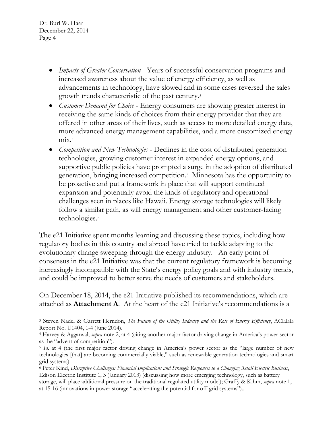$\overline{a}$ 

- *Impacts of Greater Conservation* Years of successful conservation programs and increased awareness about the value of energy efficiency, as well as advancements in technology, have slowed and in some cases reversed the sales growth trends characteristic of the past century.[3](#page-3-0)
- *Customer Demand for Choice* Energy consumers are showing greater interest in receiving the same kinds of choices from their energy provider that they are offered in other areas of their lives, such as access to more detailed energy data, more advanced energy management capabilities, and a more customized energy  $mix<sup>4</sup>$  $mix<sup>4</sup>$  $mix<sup>4</sup>$
- *Competition and New Technologies* Declines in the cost of distributed generation technologies, growing customer interest in expanded energy options, and supportive public policies have prompted a surge in the adoption of distributed generation, bringing increased competition.[5](#page-3-2) Minnesota has the opportunity to be proactive and put a framework in place that will support continued expansion and potentially avoid the kinds of regulatory and operational challenges seen in places like Hawaii. Energy storage technologies will likely follow a similar path, as will energy management and other customer-facing technologies.<sup>6</sup>

The e21 Initiative spent months learning and discussing these topics, including how regulatory bodies in this country and abroad have tried to tackle adapting to the evolutionary change sweeping through the energy industry. An early point of consensus in the e21 Initiative was that the current regulatory framework is becoming increasingly incompatible with the State's energy policy goals and with industry trends, and could be improved to better serve the needs of customers and stakeholders.

On December 18, 2014, the e21 Initiative published its recommendations, which are attached as **Attachment A**. At the heart of the e21 Initiative's recommendations is a

<span id="page-3-0"></span><sup>3</sup> Steven Nadel & Garrett Herndon, *The Future of the Utility Industry and the Role of Energy Efficiency*, ACEEE Report No. U1404, 1-4 (June 2014).

<span id="page-3-1"></span><sup>4</sup> Harvey & Aggarwal, *supra* note [2,](#page-2-2) at 4 (citing another major factor driving change in America's power sector as the "advent of competition").

<span id="page-3-2"></span><sup>5</sup> *Id*. at 4 (the first major factor driving change in America's power sector as the "large number of new technologies [that] are becoming commercially viable," such as renewable generation technologies and smart grid systems).

<span id="page-3-3"></span><sup>6</sup> Peter Kind, *Disruptive Challenges: Financial Implications and Strategic Responses to a Changing Retail Electric Business*, Edison Electric Institute 1, 3 (January 2013) (discussing how more emerging technology, such as battery storage, will place additional pressure on the traditional regulated utility model); Graffy & Kihm, *supra* not[e 1,](#page-2-3) at 15-16 (innovations in power storage "accelerating the potential for off-grid systems")..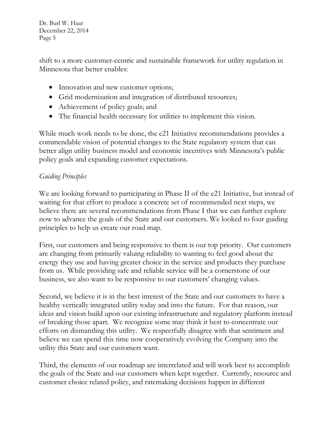shift to a more customer-centric and sustainable framework for utility regulation in Minnesota that better enables:

- Innovation and new customer options;
- Grid modernization and integration of distributed resources;
- Achievement of policy goals; and
- The financial health necessary for utilities to implement this vision.

While much work needs to be done, the e21 Initiative recommendations provides a commendable vision of potential changes to the State regulatory system that can better align utility business model and economic incentives with Minnesota's public policy goals and expanding customer expectations.

# *Guiding Principles*

We are looking forward to participating in Phase II of the e21 Initiative, but instead of waiting for that effort to produce a concrete set of recommended next steps, we believe there are several recommendations from Phase I that we can further explore now to advance the goals of the State and our customers. We looked to four guiding principles to help us create our road map.

First, our customers and being responsive to them is our top priority. Our customers are changing from primarily valuing reliability to wanting to feel good about the energy they use and having greater choice in the service and products they purchase from us. While providing safe and reliable service will be a cornerstone of our business, we also want to be responsive to our customers' changing values.

Second, we believe it is in the best interest of the State and our customers to have a healthy vertically integrated utility today and into the future. For that reason, our ideas and vision build upon our existing infrastructure and regulatory platform instead of breaking those apart. We recognize some may think it best to concentrate our efforts on dismantling this utility. We respectfully disagree with that sentiment and believe we can spend this time now cooperatively evolving the Company into the utility this State and our customers want.

Third, the elements of our roadmap are interrelated and will work best to accomplish the goals of the State and our customers when kept together. Currently, resource and customer choice related policy, and ratemaking decisions happen in different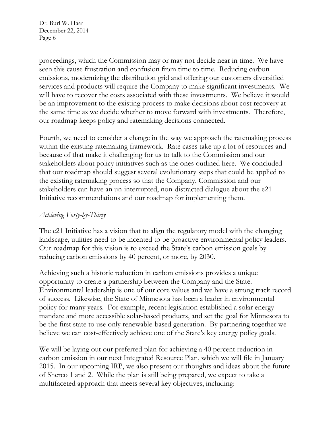proceedings, which the Commission may or may not decide near in time. We have seen this cause frustration and confusion from time to time. Reducing carbon emissions, modernizing the distribution grid and offering our customers diversified services and products will require the Company to make significant investments. We will have to recover the costs associated with these investments. We believe it would be an improvement to the existing process to make decisions about cost recovery at the same time as we decide whether to move forward with investments. Therefore, our roadmap keeps policy and ratemaking decisions connected.

Fourth, we need to consider a change in the way we approach the ratemaking process within the existing ratemaking framework. Rate cases take up a lot of resources and because of that make it challenging for us to talk to the Commission and our stakeholders about policy initiatives such as the ones outlined here. We concluded that our roadmap should suggest several evolutionary steps that could be applied to the existing ratemaking process so that the Company, Commission and our stakeholders can have an un-interrupted, non-distracted dialogue about the e21 Initiative recommendations and our roadmap for implementing them.

### *Achieving Forty-by-Thirty*

The e21 Initiative has a vision that to align the regulatory model with the changing landscape, utilities need to be incented to be proactive environmental policy leaders. Our roadmap for this vision is to exceed the State's carbon emission goals by reducing carbon emissions by 40 percent, or more, by 2030.

Achieving such a historic reduction in carbon emissions provides a unique opportunity to create a partnership between the Company and the State. Environmental leadership is one of our core values and we have a strong track record of success. Likewise, the State of Minnesota has been a leader in environmental policy for many years. For example, recent legislation established a solar energy mandate and more accessible solar-based products, and set the goal for Minnesota to be the first state to use only renewable-based generation. By partnering together we believe we can cost-effectively achieve one of the State's key energy policy goals.

We will be laying out our preferred plan for achieving a 40 percent reduction in carbon emission in our next Integrated Resource Plan, which we will file in January 2015. In our upcoming IRP, we also present our thoughts and ideas about the future of Sherco 1 and 2. While the plan is still being prepared, we expect to take a multifaceted approach that meets several key objectives, including: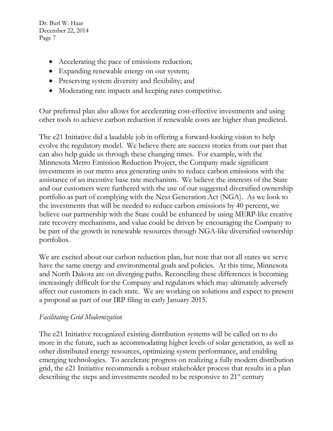- Accelerating the pace of emissions reduction;
- Expanding renewable energy on our system;
- Preserving system diversity and flexibility; and
- Moderating rate impacts and keeping rates competitive.

Our preferred plan also allows for accelerating cost-effective investments and using other tools to achieve carbon reduction if renewable costs are higher than predicted.

The e21 Initiative did a laudable job in offering a forward-looking vision to help evolve the regulatory model. We believe there are success stories from our past that can also help guide us through these changing times. For example, with the Minnesota Metro Emission Reduction Project, the Company made significant investments in our metro area generating units to reduce carbon emissions with the assistance of an incentive base rate mechanism. We believe the interests of the State and our customers were furthered with the use of our suggested diversified ownership portfolio as part of complying with the Next Generation Act (NGA). As we look to the investments that will be needed to reduce carbon emissions by 40 percent, we believe our partnership with the State could be enhanced by using MERP-like creative rate recovery mechanisms, and value could be driven by encouraging the Company to be part of the growth in renewable resources through NGA-like diversified ownership portfolios.

We are excited about our carbon reduction plan, but note that not all states we serve have the same energy and environmental goals and policies. At this time, Minnesota and North Dakota are on diverging paths. Reconciling these differences is becoming increasingly difficult for the Company and regulators which may ultimately adversely affect our customers in each state. We are working on solutions and expect to present a proposal as part of our IRP filing in early January 2015.

#### *Facilitating Grid Modernization*

The e21 Initiative recognized existing distribution systems will be called on to do more in the future, such as accommodating higher levels of solar generation, as well as other distributed energy resources, optimizing system performance, and enabling emerging technologies. To accelerate progress on realizing a fully modern distribution grid, the e21 Initiative recommends a robust stakeholder process that results in a plan describing the steps and investments needed to be responsive to 21<sup>st</sup> century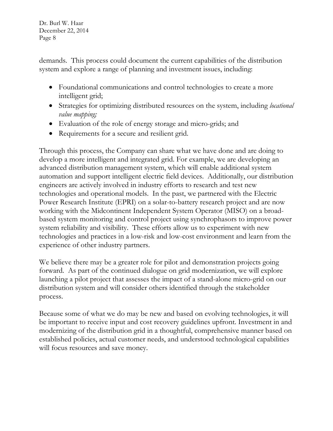demands. This process could document the current capabilities of the distribution system and explore a range of planning and investment issues, including:

- Foundational communications and control technologies to create a more intelligent grid;
- Strategies for optimizing distributed resources on the system, including *locational value mapping;*
- Evaluation of the role of energy storage and micro-grids; and
- Requirements for a secure and resilient grid.

Through this process, the Company can share what we have done and are doing to develop a more intelligent and integrated grid. For example, we are developing an advanced distribution management system, which will enable additional system automation and support intelligent electric field devices. Additionally, our distribution engineers are actively involved in industry efforts to research and test new technologies and operational models. In the past, we partnered with the Electric Power Research Institute (EPRI) on a solar-to-battery research project and are now working with the Midcontinent Independent System Operator (MISO) on a broadbased system monitoring and control project using synchrophasors to improve power system reliability and visibility. These efforts allow us to experiment with new technologies and practices in a low-risk and low-cost environment and learn from the experience of other industry partners.

We believe there may be a greater role for pilot and demonstration projects going forward. As part of the continued dialogue on grid modernization, we will explore launching a pilot project that assesses the impact of a stand-alone micro-grid on our distribution system and will consider others identified through the stakeholder process.

Because some of what we do may be new and based on evolving technologies, it will be important to receive input and cost recovery guidelines upfront. Investment in and modernizing of the distribution grid in a thoughtful, comprehensive manner based on established policies, actual customer needs, and understood technological capabilities will focus resources and save money.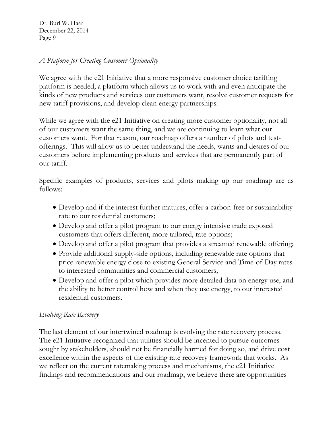#### *A Platform for Creating Customer Optionality*

We agree with the e21 Initiative that a more responsive customer choice tariffing platform is needed; a platform which allows us to work with and even anticipate the kinds of new products and services our customers want, resolve customer requests for new tariff provisions, and develop clean energy partnerships.

While we agree with the e21 Initiative on creating more customer optionality, not all of our customers want the same thing, and we are continuing to learn what our customers want. For that reason, our roadmap offers a number of pilots and testofferings. This will allow us to better understand the needs, wants and desires of our customers before implementing products and services that are permanently part of our tariff.

Specific examples of products, services and pilots making up our roadmap are as follows:

- Develop and if the interest further matures, offer a carbon-free or sustainability rate to our residential customers;
- Develop and offer a pilot program to our energy intensive trade exposed customers that offers different, more tailored, rate options;
- Develop and offer a pilot program that provides a streamed renewable offering;
- Provide additional supply-side options, including renewable rate options that price renewable energy close to existing General Service and Time-of-Day rates to interested communities and commercial customers;
- Develop and offer a pilot which provides more detailed data on energy use, and the ability to better control how and when they use energy, to our interested residential customers.

#### *Evolving Rate Recovery*

The last element of our intertwined roadmap is evolving the rate recovery process. The e21 Initiative recognized that utilities should be incented to pursue outcomes sought by stakeholders, should not be financially harmed for doing so, and drive cost excellence within the aspects of the existing rate recovery framework that works. As we reflect on the current ratemaking process and mechanisms, the e21 Initiative findings and recommendations and our roadmap, we believe there are opportunities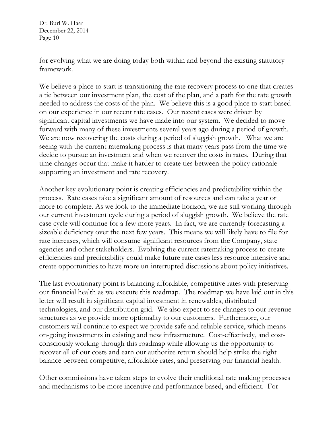for evolving what we are doing today both within and beyond the existing statutory framework.

We believe a place to start is transitioning the rate recovery process to one that creates a tie between our investment plan, the cost of the plan, and a path for the rate growth needed to address the costs of the plan. We believe this is a good place to start based on our experience in our recent rate cases. Our recent cases were driven by significant capital investments we have made into our system. We decided to move forward with many of these investments several years ago during a period of growth. We are now recovering the costs during a period of sluggish growth. What we are seeing with the current ratemaking process is that many years pass from the time we decide to pursue an investment and when we recover the costs in rates. During that time changes occur that make it harder to create ties between the policy rationale supporting an investment and rate recovery.

Another key evolutionary point is creating efficiencies and predictability within the process. Rate cases take a significant amount of resources and can take a year or more to complete. As we look to the immediate horizon, we are still working through our current investment cycle during a period of sluggish growth. We believe the rate case cycle will continue for a few more years. In fact, we are currently forecasting a sizeable deficiency over the next few years. This means we will likely have to file for rate increases, which will consume significant resources from the Company, state agencies and other stakeholders. Evolving the current ratemaking process to create efficiencies and predictability could make future rate cases less resource intensive and create opportunities to have more un-interrupted discussions about policy initiatives.

The last evolutionary point is balancing affordable, competitive rates with preserving our financial health as we execute this roadmap. The roadmap we have laid out in this letter will result in significant capital investment in renewables, distributed technologies, and our distribution grid. We also expect to see changes to our revenue structures as we provide more optionality to our customers. Furthermore, our customers will continue to expect we provide safe and reliable service, which means on-going investments in existing and new infrastructure. Cost-effectively, and costconsciously working through this roadmap while allowing us the opportunity to recover all of our costs and earn our authorize return should help strike the right balance between competitive, affordable rates, and preserving our financial health.

Other commissions have taken steps to evolve their traditional rate making processes and mechanisms to be more incentive and performance based, and efficient. For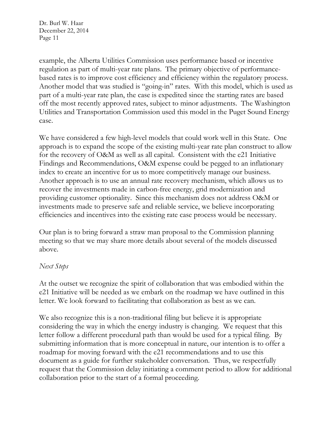example, the Alberta Utilities Commission uses performance based or incentive regulation as part of multi-year rate plans. The primary objective of performancebased rates is to improve cost efficiency and efficiency within the regulatory process. Another model that was studied is "going-in" rates. With this model, which is used as part of a multi-year rate plan, the case is expedited since the starting rates are based off the most recently approved rates, subject to minor adjustments. The Washington Utilities and Transportation Commission used this model in the Puget Sound Energy case.

We have considered a few high-level models that could work well in this State. One approach is to expand the scope of the existing multi-year rate plan construct to allow for the recovery of O&M as well as all capital. Consistent with the e21 Initiative Findings and Recommendations, O&M expense could be pegged to an inflationary index to create an incentive for us to more competitively manage our business. Another approach is to use an annual rate recovery mechanism, which allows us to recover the investments made in carbon-free energy, grid modernization and providing customer optionality. Since this mechanism does not address O&M or investments made to preserve safe and reliable service, we believe incorporating efficiencies and incentives into the existing rate case process would be necessary.

Our plan is to bring forward a straw man proposal to the Commission planning meeting so that we may share more details about several of the models discussed above.

#### *Next Steps*

At the outset we recognize the spirit of collaboration that was embodied within the e21 Initiative will be needed as we embark on the roadmap we have outlined in this letter. We look forward to facilitating that collaboration as best as we can.

We also recognize this is a non-traditional filing but believe it is appropriate considering the way in which the energy industry is changing. We request that this letter follow a different procedural path than would be used for a typical filing. By submitting information that is more conceptual in nature, our intention is to offer a roadmap for moving forward with the e21 recommendations and to use this document as a guide for further stakeholder conversation. Thus, we respectfully request that the Commission delay initiating a comment period to allow for additional collaboration prior to the start of a formal proceeding.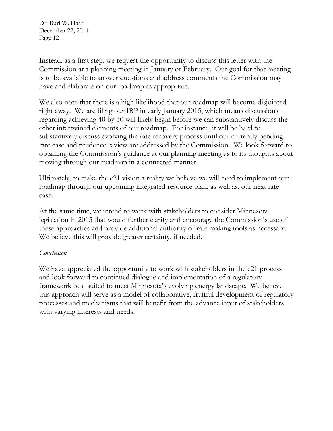Instead, as a first step, we request the opportunity to discuss this letter with the Commission at a planning meeting in January or February. Our goal for that meeting is to be available to answer questions and address comments the Commission may have and elaborate on our roadmap as appropriate.

We also note that there is a high likelihood that our roadmap will become disjointed right away. We are filing our IRP in early January 2015, which means discussions regarding achieving 40 by 30 will likely begin before we can substantively discuss the other intertwined elements of our roadmap. For instance, it will be hard to substantively discuss evolving the rate recovery process until our currently pending rate case and prudence review are addressed by the Commission. We look forward to obtaining the Commission's guidance at our planning meeting as to its thoughts about moving through our roadmap in a connected manner.

Ultimately, to make the e21 vision a reality we believe we will need to implement our roadmap through our upcoming integrated resource plan, as well as, our next rate case.

At the same time, we intend to work with stakeholders to consider Minnesota legislation in 2015 that would further clarify and encourage the Commission's use of these approaches and provide additional authority or rate making tools as necessary. We believe this will provide greater certainty, if needed.

#### *Conclusion*

We have appreciated the opportunity to work with stakeholders in the e21 process and look forward to continued dialogue and implementation of a regulatory framework best suited to meet Minnesota's evolving energy landscape. We believe this approach will serve as a model of collaborative, fruitful development of regulatory processes and mechanisms that will benefit from the advance input of stakeholders with varying interests and needs.